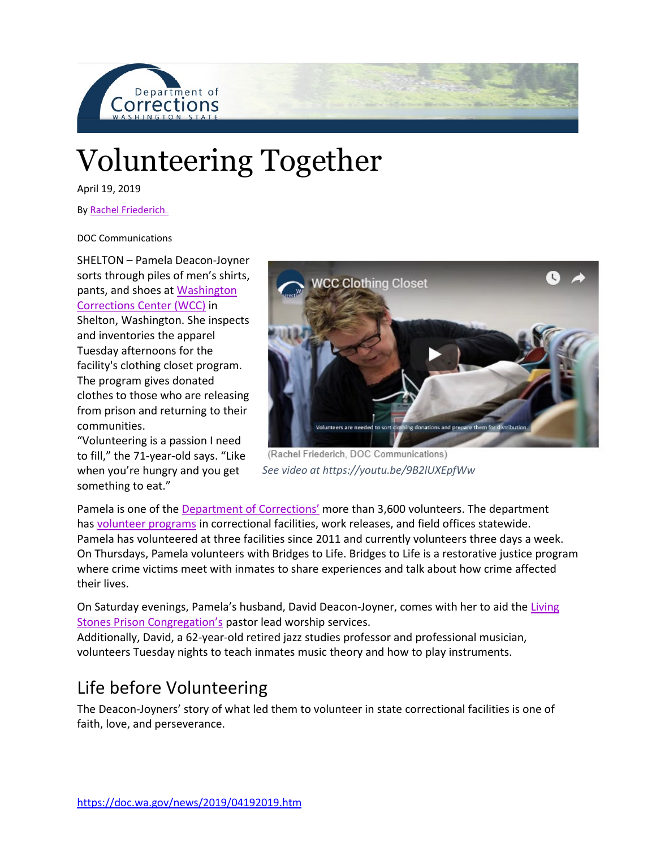

# Volunteering Together

April 19, 2019

By Rachel Friederich.

DOC Communications

SHELTON – Pamela Deacon-Joyner sorts through piles of men's shirts, pants, and shoes at [Washington](https://doc.wa.gov/corrections/incarceration/prisons/wcc.htm)  [Corrections Center \(WCC\)](https://doc.wa.gov/corrections/incarceration/prisons/wcc.htm) in Shelton, Washington. She inspects and inventories the apparel Tuesday afternoons for the facility's clothing closet program. The program gives donated clothes to those who are releasing from prison and returning to their communities.

"Volunteering is a passion I need to fill," the 71-year-old says. "Like when you're hungry and you get something to eat."



(Rachel Friederich, DOC Communications) *See video at https://youtu.be/9B2lUXEpfWw*

Pamela is one of the [Department of Corrections'](https://doc.wa.gov/default.htm) more than 3,600 volunteers. The department has [volunteer programs](https://doc.wa.gov/corrections/programs/volunteer.htm) in correctional facilities, work releases, and field offices statewide. Pamela has volunteered at three facilities since 2011 and currently volunteers three days a week. On Thursdays, Pamela volunteers with Bridges to Life. Bridges to Life is a restorative justice program where crime victims meet with inmates to share experiences and talk about how crime affected their lives.

On Saturday evenings, Pamela's husband, David Deacon-Joyner, comes with her to aid the [Living](http://livingstonesprisoncongregation.com/)  [Stones Prison Congregation's](http://livingstonesprisoncongregation.com/) pastor lead worship services.

Additionally, David, a 62-year-old retired jazz studies professor and professional musician, volunteers Tuesday nights to teach inmates music theory and how to play instruments.

### Life before Volunteering

The Deacon-Joyners' story of what led them to volunteer in state correctional facilities is one of faith, love, and perseverance.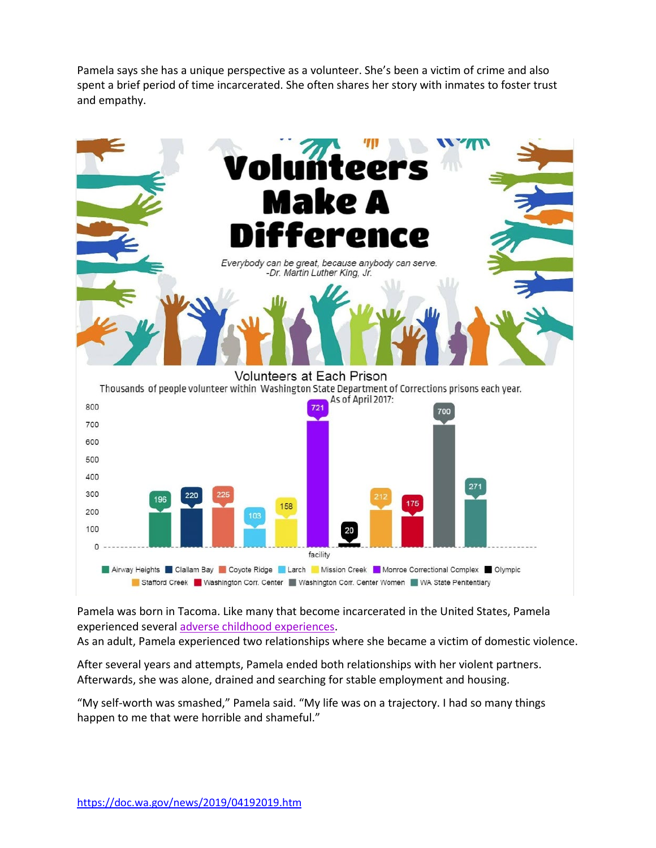Pamela says she has a unique perspective as a volunteer. She's been a victim of crime and also spent a brief period of time incarcerated. She often shares her story with inmates to foster trust and empathy.



Pamela was born in Tacoma. Like many that become incarcerated in the United States, Pamela experienced several [adverse childhood experiences.](https://www.ncbi.nlm.nih.gov/pubmed/29455144)

As an adult, Pamela experienced two relationships where she became a victim of domestic violence.

After several years and attempts, Pamela ended both relationships with her violent partners. Afterwards, she was alone, drained and searching for stable employment and housing.

"My self-worth was smashed," Pamela said. "My life was on a trajectory. I had so many things happen to me that were horrible and shameful."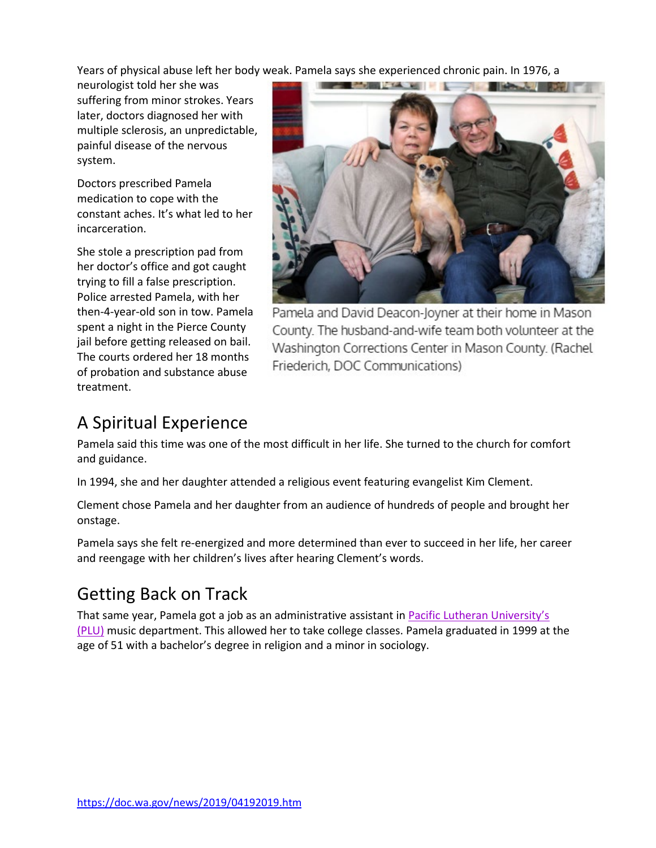Years of physical abuse left her body weak. Pamela says she experienced chronic pain. In 1976, a

neurologist told her she was suffering from minor strokes. Years later, doctors diagnosed her with multiple sclerosis, an unpredictable, painful disease of the nervous system.

Doctors prescribed Pamela medication to cope with the constant aches. It's what led to her incarceration.

She stole a prescription pad from her doctor's office and got caught trying to fill a false prescription. Police arrested Pamela, with her then-4-year-old son in tow. Pamela spent a night in the Pierce County jail before getting released on bail. The courts ordered her 18 months of probation and substance abuse treatment.



Pamela and David Deacon-Joyner at their home in Mason County. The husband-and-wife team both volunteer at the Washington Corrections Center in Mason County. (Rachel Friederich, DOC Communications)

## A Spiritual Experience

Pamela said this time was one of the most difficult in her life. She turned to the church for comfort and guidance.

In 1994, she and her daughter attended a religious event featuring evangelist Kim Clement.

Clement chose Pamela and her daughter from an audience of hundreds of people and brought her onstage.

Pamela says she felt re-energized and more determined than ever to succeed in her life, her career and reengage with her children's lives after hearing Clement's words.

### Getting Back on Track

That same year, Pamela got a job as an administrative assistant in [Pacific Lutheran University's](https://www.plu.edu/)  [\(PLU\)](https://www.plu.edu/) music department. This allowed her to take college classes. Pamela graduated in 1999 at the age of 51 with a bachelor's degree in religion and a minor in sociology.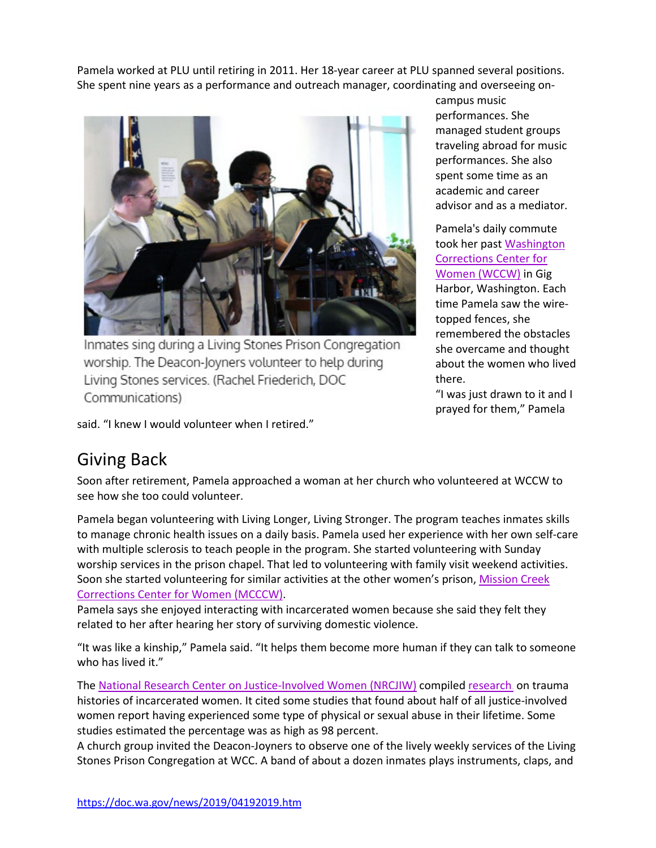Pamela worked at PLU until retiring in 2011. Her 18-year career at PLU spanned several positions. She spent nine years as a performance and outreach manager, coordinating and overseeing on-



Inmates sing during a Living Stones Prison Congregation worship. The Deacon-Joyners volunteer to help during Living Stones services. (Rachel Friederich, DOC Communications)

campus music performances. She managed student groups traveling abroad for music performances. She also spent some time as an academic and career advisor and as a mediator.

Pamela's daily commute took her past [Washington](https://doc.wa.gov/corrections/incarceration/prisons/wccw.htm)  [Corrections Center for](https://doc.wa.gov/corrections/incarceration/prisons/wccw.htm)  [Women \(WCCW\)](https://doc.wa.gov/corrections/incarceration/prisons/wccw.htm) in Gig Harbor, Washington. Each time Pamela saw the wiretopped fences, she remembered the obstacles she overcame and thought about the women who lived there.

"I was just drawn to it and I prayed for them," Pamela

said. "I knew I would volunteer when I retired."

### Giving Back

Soon after retirement, Pamela approached a woman at her church who volunteered at WCCW to see how she too could volunteer.

Pamela began volunteering with Living Longer, Living Stronger. The program teaches inmates skills to manage chronic health issues on a daily basis. Pamela used her experience with her own self-care with multiple sclerosis to teach people in the program. She started volunteering with Sunday worship services in the prison chapel. That led to volunteering with family visit weekend activities. Soon she started volunteering for similar activities at the other women's prison, [Mission Creek](https://doc.wa.gov/corrections/incarceration/prisons/mcccw.htm)  [Corrections Center for Women \(MCCCW\).](https://doc.wa.gov/corrections/incarceration/prisons/mcccw.htm)

Pamela says she enjoyed interacting with incarcerated women because she said they felt they related to her after hearing her story of surviving domestic violence.

"It was like a kinship," Pamela said. "It helps them become more human if they can talk to someone who has lived it."

The [National Research Center on Justice-Involved Women \(NRCJIW\)](https://cjinvolvedwomen.org/) compiled research, on trauma histories of incarcerated women. It cited some studies that found about half of all justice-involved women report having experienced some type of physical or sexual abuse in their lifetime. Some studies estimated the percentage was as high as 98 percent.

A church group invited the Deacon-Joyners to observe one of the lively weekly services of the Living Stones Prison Congregation at WCC. A band of about a dozen inmates plays instruments, claps, and